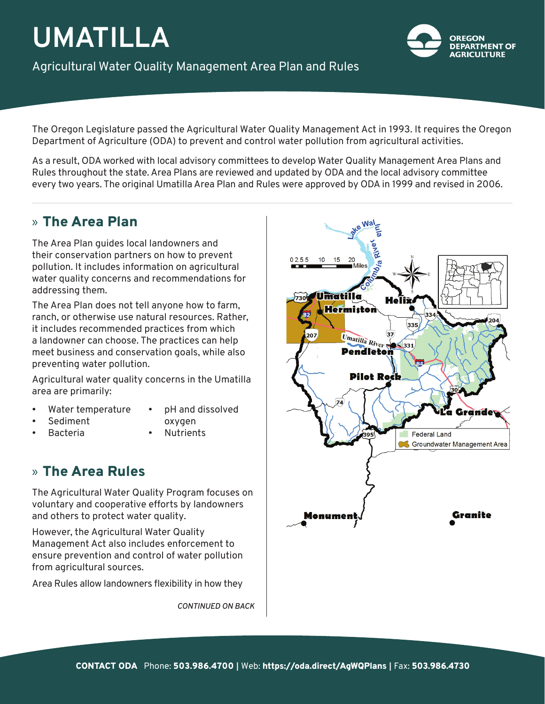# **UMATILLA**

Agricultural Water Quality Management Area Plan and Rules



The Oregon Legislature passed the Agricultural Water Quality Management Act in 1993. It requires the Oregon Department of Agriculture (ODA) to prevent and control water pollution from agricultural activities.

As a result, ODA worked with local advisory committees to develop Water Quality Management Area Plans and Rules throughout the state. Area Plans are reviewed and updated by ODA and the local advisory committee every two years. The original Umatilla Area Plan and Rules were approved by ODA in 1999 and revised in 2006.

## » The Area Plan

The Area Plan guides local landowners and their conservation partners on how to prevent pollution. It includes information on agricultural water quality concerns and recommendations for addressing them.

The Area Plan does not tell anyone how to farm, ranch, or otherwise use natural resources. Rather, it includes recommended practices from which a landowner can choose. The practices can help meet business and conservation goals, while also preventing water pollution.

Agricultural water quality concerns in the Umatilla area are primarily:

- Water temperature
- pH and dissolved
- Sediment • Bacteria
- oxygen
- - Nutrients

## » The Area Rules

The Agricultural Water Quality Program focuses on voluntary and cooperative efforts by landowners and others to protect water quality.

However, the Agricultural Water Quality Management Act also includes enforcement to ensure prevention and control of water pollution from agricultural sources.

Area Rules allow landowners flexibility in how they

*CONTINUED ON BACK*